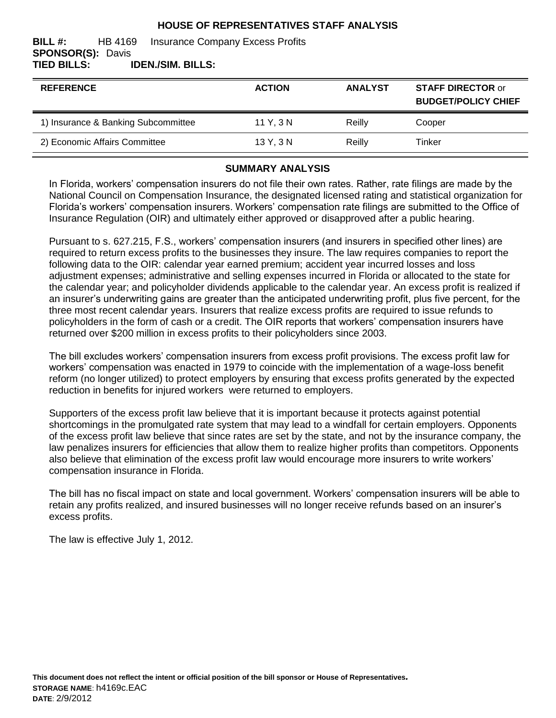### **HOUSE OF REPRESENTATIVES STAFF ANALYSIS**

#### **BILL #:** HB 4169 Insurance Company Excess Profits **SPONSOR(S):** Davis **TIED BILLS: IDEN./SIM. BILLS:**

| <b>REFERENCE</b>                    | <b>ACTION</b> | <b>ANALYST</b> | <b>STAFF DIRECTOR or</b><br><b>BUDGET/POLICY CHIEF</b> |
|-------------------------------------|---------------|----------------|--------------------------------------------------------|
| 1) Insurance & Banking Subcommittee | 11 Y, 3 N     | Reilly         | Cooper                                                 |
| 2) Economic Affairs Committee       | 13 Y, 3 N     | Reilly         | Tinker                                                 |

### **SUMMARY ANALYSIS**

In Florida, workers' compensation insurers do not file their own rates. Rather, rate filings are made by the National Council on Compensation Insurance, the designated licensed rating and statistical organization for Florida's workers' compensation insurers. Workers' compensation rate filings are submitted to the Office of Insurance Regulation (OIR) and ultimately either approved or disapproved after a public hearing.

Pursuant to s. 627.215, F.S., workers' compensation insurers (and insurers in specified other lines) are required to return excess profits to the businesses they insure. The law requires companies to report the following data to the OIR: calendar year earned premium; accident year incurred losses and loss adjustment expenses; administrative and selling expenses incurred in Florida or allocated to the state for the calendar year; and policyholder dividends applicable to the calendar year. An excess profit is realized if an insurer's underwriting gains are greater than the anticipated underwriting profit, plus five percent, for the three most recent calendar years. Insurers that realize excess profits are required to issue refunds to policyholders in the form of cash or a credit. The OIR reports that workers' compensation insurers have returned over \$200 million in excess profits to their policyholders since 2003.

The bill excludes workers' compensation insurers from excess profit provisions. The excess profit law for workers' compensation was enacted in 1979 to coincide with the implementation of a wage-loss benefit reform (no longer utilized) to protect employers by ensuring that excess profits generated by the expected reduction in benefits for injured workers were returned to employers.

Supporters of the excess profit law believe that it is important because it protects against potential shortcomings in the promulgated rate system that may lead to a windfall for certain employers. Opponents of the excess profit law believe that since rates are set by the state, and not by the insurance company, the law penalizes insurers for efficiencies that allow them to realize higher profits than competitors. Opponents also believe that elimination of the excess profit law would encourage more insurers to write workers' compensation insurance in Florida.

The bill has no fiscal impact on state and local government. Workers' compensation insurers will be able to retain any profits realized, and insured businesses will no longer receive refunds based on an insurer's excess profits.

The law is effective July 1, 2012.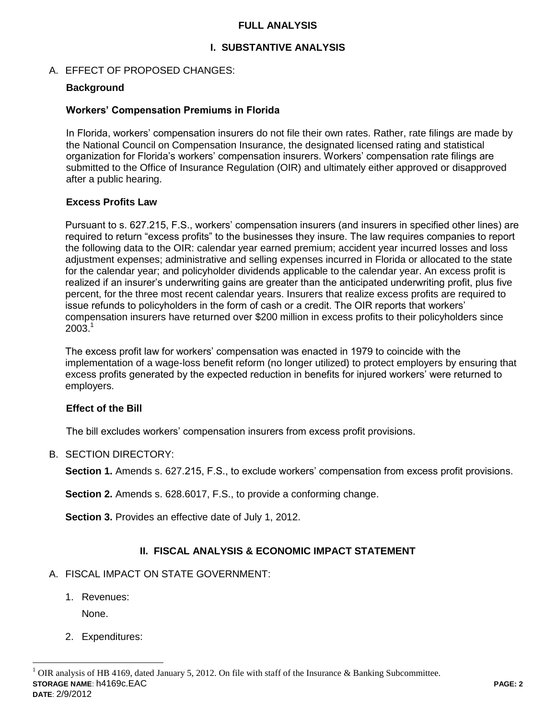### **FULL ANALYSIS**

# **I. SUBSTANTIVE ANALYSIS**

### A. EFFECT OF PROPOSED CHANGES:

### **Background**

### **Workers' Compensation Premiums in Florida**

In Florida, workers' compensation insurers do not file their own rates. Rather, rate filings are made by the National Council on Compensation Insurance, the designated licensed rating and statistical organization for Florida's workers' compensation insurers. Workers' compensation rate filings are submitted to the Office of Insurance Regulation (OIR) and ultimately either approved or disapproved after a public hearing.

### **Excess Profits Law**

Pursuant to s. 627.215, F.S., workers' compensation insurers (and insurers in specified other lines) are required to return "excess profits" to the businesses they insure. The law requires companies to report the following data to the OIR: calendar year earned premium; accident year incurred losses and loss adjustment expenses; administrative and selling expenses incurred in Florida or allocated to the state for the calendar year; and policyholder dividends applicable to the calendar year. An excess profit is realized if an insurer's underwriting gains are greater than the anticipated underwriting profit, plus five percent, for the three most recent calendar years. Insurers that realize excess profits are required to issue refunds to policyholders in the form of cash or a credit. The OIR reports that workers' compensation insurers have returned over \$200 million in excess profits to their policyholders since  $2003.<sup>1</sup>$ 

The excess profit law for workers' compensation was enacted in 1979 to coincide with the implementation of a wage-loss benefit reform (no longer utilized) to protect employers by ensuring that excess profits generated by the expected reduction in benefits for injured workers' were returned to employers.

### **Effect of the Bill**

The bill excludes workers' compensation insurers from excess profit provisions.

#### B. SECTION DIRECTORY:

**Section 1.** Amends s. 627.215, F.S., to exclude workers' compensation from excess profit provisions.

**Section 2.** Amends s. 628.6017, F.S., to provide a conforming change.

**Section 3.** Provides an effective date of July 1, 2012.

# **II. FISCAL ANALYSIS & ECONOMIC IMPACT STATEMENT**

- A. FISCAL IMPACT ON STATE GOVERNMENT:
	- 1. Revenues:

None.

 $\overline{a}$ 

2. Expenditures: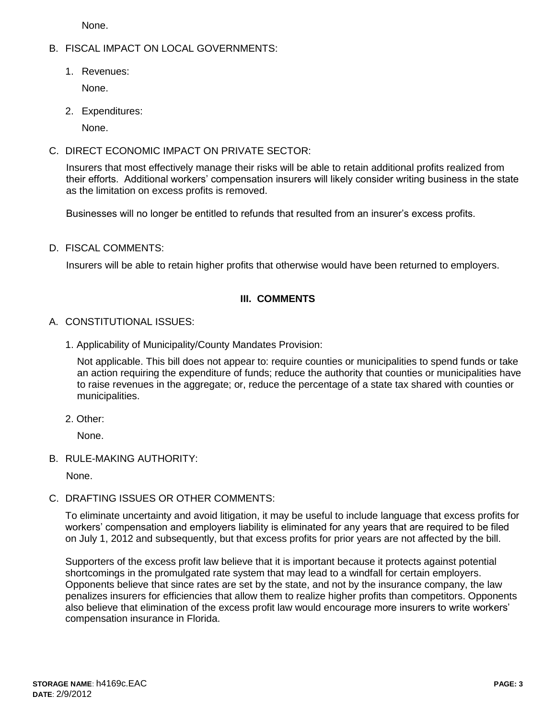None.

# B. FISCAL IMPACT ON LOCAL GOVERNMENTS:

1. Revenues:

None.

2. Expenditures:

None.

C. DIRECT ECONOMIC IMPACT ON PRIVATE SECTOR:

Insurers that most effectively manage their risks will be able to retain additional profits realized from their efforts. Additional workers' compensation insurers will likely consider writing business in the state as the limitation on excess profits is removed.

Businesses will no longer be entitled to refunds that resulted from an insurer's excess profits.

D. FISCAL COMMENTS:

Insurers will be able to retain higher profits that otherwise would have been returned to employers.

# **III. COMMENTS**

# A. CONSTITUTIONAL ISSUES:

1. Applicability of Municipality/County Mandates Provision:

Not applicable. This bill does not appear to: require counties or municipalities to spend funds or take an action requiring the expenditure of funds; reduce the authority that counties or municipalities have to raise revenues in the aggregate; or, reduce the percentage of a state tax shared with counties or municipalities.

2. Other:

None.

B. RULE-MAKING AUTHORITY:

None.

# C. DRAFTING ISSUES OR OTHER COMMENTS:

To eliminate uncertainty and avoid litigation, it may be useful to include language that excess profits for workers' compensation and employers liability is eliminated for any years that are required to be filed on July 1, 2012 and subsequently, but that excess profits for prior years are not affected by the bill.

Supporters of the excess profit law believe that it is important because it protects against potential shortcomings in the promulgated rate system that may lead to a windfall for certain employers. Opponents believe that since rates are set by the state, and not by the insurance company, the law penalizes insurers for efficiencies that allow them to realize higher profits than competitors. Opponents also believe that elimination of the excess profit law would encourage more insurers to write workers' compensation insurance in Florida.